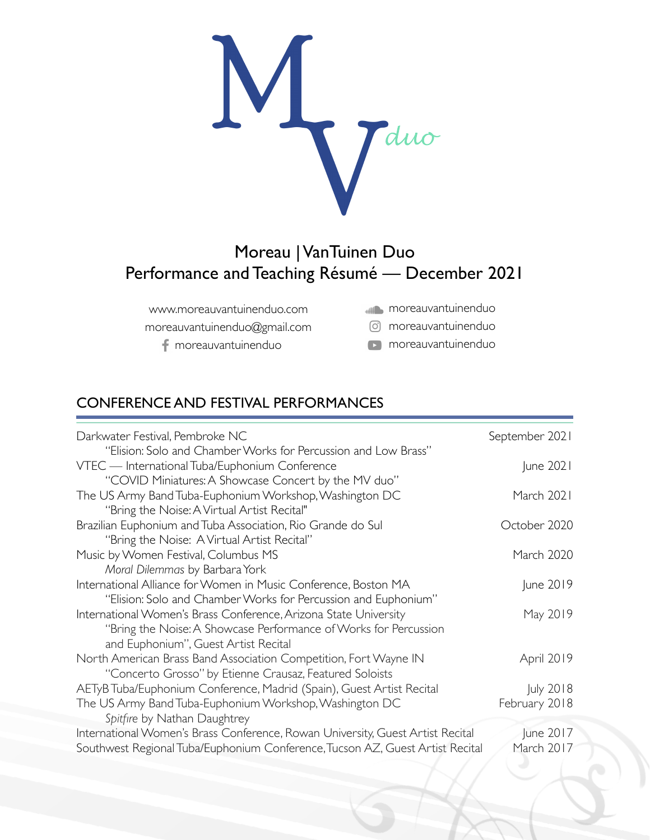

# Moreau | VanTuinen Duo Performance and Teaching Résumé — December 2021

| www.moreauvantuinenduo.com   | moreauvantuinenduo   |
|------------------------------|----------------------|
| moreauvantuinenduo@gmail.com | o moreauvantuinenduo |

f moreauvantuinenduo

**moreauvantuinenduo** 

### CONFERENCE AND FESTIVAL PERFORMANCES

| Darkwater Festival, Pembroke NC                                                | September 2021 |
|--------------------------------------------------------------------------------|----------------|
| "Elision: Solo and Chamber Works for Percussion and Low Brass"                 |                |
| VTEC - International Tuba/Euphonium Conference                                 | June 2021      |
| "COVID Miniatures: A Showcase Concert by the MV duo"                           |                |
| The US Army Band Tuba-Euphonium Workshop, Washington DC                        | March 2021     |
| "Bring the Noise: A Virtual Artist Recital"                                    |                |
| Brazilian Euphonium and Tuba Association, Rio Grande do Sul                    | October 2020   |
| "Bring the Noise: A Virtual Artist Recital"                                    |                |
| Music by Women Festival, Columbus MS                                           | March 2020     |
| Moral Dilemmas by Barbara York                                                 |                |
| International Alliance for Women in Music Conference, Boston MA                | June 2019      |
| "Elision: Solo and Chamber Works for Percussion and Euphonium"                 |                |
| International Women's Brass Conference, Arizona State University               | May 2019       |
| "Bring the Noise: A Showcase Performance of Works for Percussion               |                |
| and Euphonium", Guest Artist Recital                                           |                |
| North American Brass Band Association Competition, Fort Wayne IN               | April 2019     |
| "Concerto Grosso" by Etienne Crausaz, Featured Soloists                        |                |
| AETyB Tuba/Euphonium Conference, Madrid (Spain), Guest Artist Recital          | July 2018      |
| The US Army Band Tuba-Euphonium Workshop, Washington DC                        | February 2018  |
| Spitfire by Nathan Daughtrey                                                   |                |
| International Women's Brass Conference, Rowan University, Guest Artist Recital | June 2017      |
| Southwest Regional Tuba/Euphonium Conference, Tucson AZ, Guest Artist Recital  | March 2017     |
|                                                                                |                |